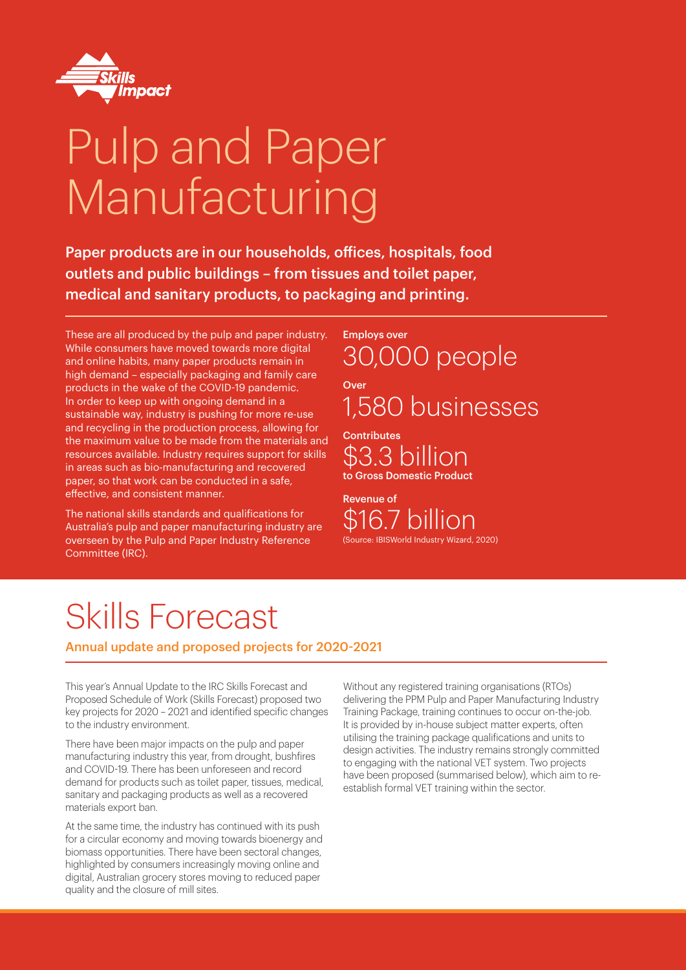

# Pulp and Paper Manufacturing

Paper products are in our households, offices, hospitals, food outlets and public buildings – from tissues and toilet paper, medical and sanitary products, to packaging and printing.

These are all produced by the pulp and paper industry. While consumers have moved towards more digital and online habits, many paper products remain in high demand – especially packaging and family care products in the wake of the COVID-19 pandemic. In order to keep up with ongoing demand in a sustainable way, industry is pushing for more re-use and recycling in the production process, allowing for the maximum value to be made from the materials and resources available. Industry requires support for skills in areas such as bio-manufacturing and recovered paper, so that work can be conducted in a safe, effective, and consistent manner.

The national skills standards and qualifications for Australia's pulp and paper manufacturing industry are overseen by the Pulp and Paper Industry Reference Committee (IRC).

Employs over 30,000 people Over 1,580 businesses

**Contributes** \$3.3 billion to Gross Domestic Product

Revenue of \$16.7 billion (Source: IBISWorld Industry Wizard, 2020)

# Skills Forecast

Annual update and proposed projects for 2020-2021

This year's Annual Update to the IRC Skills Forecast and Proposed Schedule of Work (Skills Forecast) proposed two key projects for 2020 – 2021 and identified specific changes to the industry environment.

There have been major impacts on the pulp and paper manufacturing industry this year, from drought, bushfires and COVID-19. There has been unforeseen and record demand for products such as toilet paper, tissues, medical, sanitary and packaging products as well as a recovered materials export ban.

At the same time, the industry has continued with its push for a circular economy and moving towards bioenergy and biomass opportunities. There have been sectoral changes, highlighted by consumers increasingly moving online and digital, Australian grocery stores moving to reduced paper quality and the closure of mill sites.

Without any registered training organisations (RTOs) delivering the PPM Pulp and Paper Manufacturing Industry Training Package, training continues to occur on-the-job. It is provided by in-house subject matter experts, often utilising the training package qualifications and units to design activities. The industry remains strongly committed to engaging with the national VET system. Two projects have been proposed (summarised below), which aim to reestablish formal VET training within the sector.